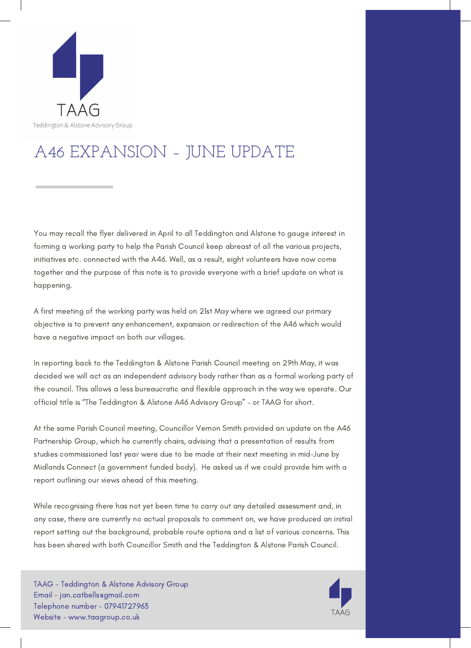

## A46 EXPANSION – JUNE UPDATE

You may recall the flyer delivered in April to all Teddington and Alstone to gauge interest in forming a working party to help the Parish Council keep abreast of all the various projects, initiatives etc. connected with the A46. Well, as a result, eight volunteers have now come together and the purpose of this note is to provide everyone with a brief update on what is happening.

A first meeting of the working party was held on 21st May where we agreed our primary objective is to prevent any enhancement, expansion or redirection of the A46 which would have a negative impact on both our villages.

In reporting back to the Teddington & Alstone Parish Council meeting on 29th May, it was decided we will act as an independent advisory body rather than as a formal working party of the council. This allows a less bureaucratic and flexible approach in the way we operate. Our official title is "The Teddington & Alstone A46 Advisory Group" – or TAAG for short.

At the same Parish Council meeting, Councillor Vernon Smith provided an update on the A46 Partnership Group, which he currently chairs, advising that a presentation of results from studies commissioned last year were due to be made at their next meeting in mid-June by Midlands Connect (a government funded body). He asked us if we could provide him with a report outlining our views ahead of this meeting.

While recognising there has not yet been time to carry out any detailed assessment and, in any case, there are currently no actual proposals to comment on, we have produced an initial report setting out the background, probable route options and a list of various concerns. This has been shared with both Councillor Smith and the Teddington & Alstone Parish Council.

TAAG - Teddington & Alstone Advisory Group Email - jan.catbells@gmail.com Telephone number - 07941727963 Website - www.taagroup.co.uk